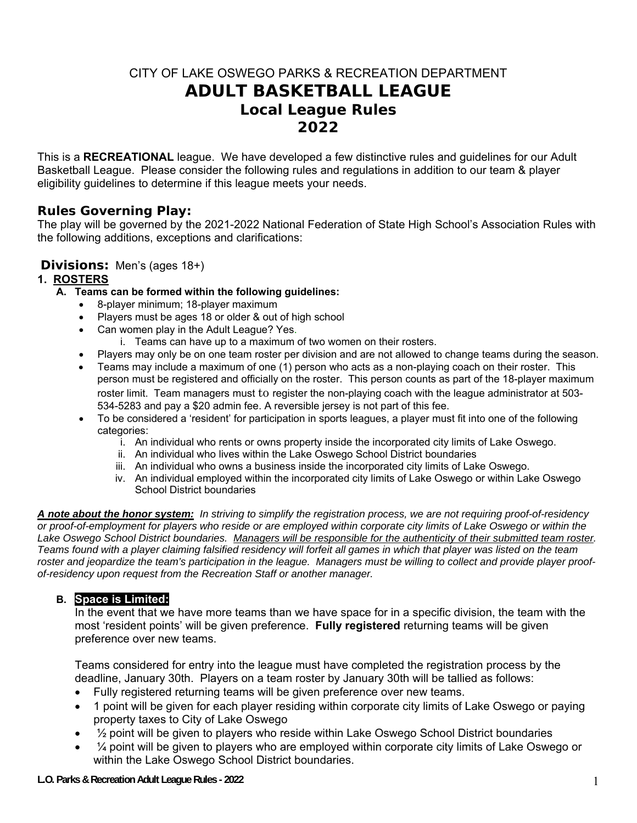# CITY OF LAKE OSWEGO PARKS & RECREATION DEPARTMENT **ADULT BASKETBALL LEAGUE**  *Local League Rules 2022*

This is a **RECREATIONAL** league. We have developed a few distinctive rules and guidelines for our Adult Basketball League. Please consider the following rules and regulations in addition to our team & player eligibility guidelines to determine if this league meets your needs.

# **Rules Governing Play:**

The play will be governed by the 2021-2022 National Federation of State High School's Association Rules with the following additions, exceptions and clarifications:

### **Divisions:** Men's (ages 18+)

### **1. ROSTERS**

- **A. Teams can be formed within the following guidelines:**
	- 8-player minimum; 18-player maximum
	- Players must be ages 18 or older & out of high school
	- Can women play in the Adult League? Yes.
		- i. Teams can have up to a maximum of two women on their rosters.
		- Players may only be on one team roster per division and are not allowed to change teams during the season.
	- Teams may include a maximum of one (1) person who acts as a non-playing coach on their roster. This person must be registered and officially on the roster. This person counts as part of the 18-player maximum roster limit. Team managers must to register the non-playing coach with the league administrator at 503- 534-5283 and pay a \$20 admin fee. A reversible jersey is not part of this fee.
	- To be considered a 'resident' for participation in sports leagues, a player must fit into one of the following categories:
		- i. An individual who rents or owns property inside the incorporated city limits of Lake Oswego.
		- ii. An individual who lives within the Lake Oswego School District boundaries
		- iii. An individual who owns a business inside the incorporated city limits of Lake Oswego.
		- iv. An individual employed within the incorporated city limits of Lake Oswego or within Lake Oswego School District boundaries

*A note about the honor system: In striving to simplify the registration process, we are not requiring proof-of-residency or proof-of-employment for players who reside or are employed within corporate city limits of Lake Oswego or within the*  Lake Oswego School District boundaries. Managers will be responsible for the authenticity of their submitted team roster. *Teams found with a player claiming falsified residency will forfeit all games in which that player was listed on the team roster and jeopardize the team's participation in the league. Managers must be willing to collect and provide player proofof-residency upon request from the Recreation Staff or another manager.* 

### **B. Space is Limited:**

In the event that we have more teams than we have space for in a specific division, the team with the most 'resident points' will be given preference. **Fully registered** returning teams will be given preference over new teams.

Teams considered for entry into the league must have completed the registration process by the deadline, January 30th. Players on a team roster by January 30th will be tallied as follows:

- Fully registered returning teams will be given preference over new teams.
- 1 point will be given for each player residing within corporate city limits of Lake Oswego or paying property taxes to City of Lake Oswego
- $\frac{1}{2}$  point will be given to players who reside within Lake Oswego School District boundaries
- $\bullet$   $\frac{1}{4}$  point will be given to players who are employed within corporate city limits of Lake Oswego or within the Lake Oswego School District boundaries.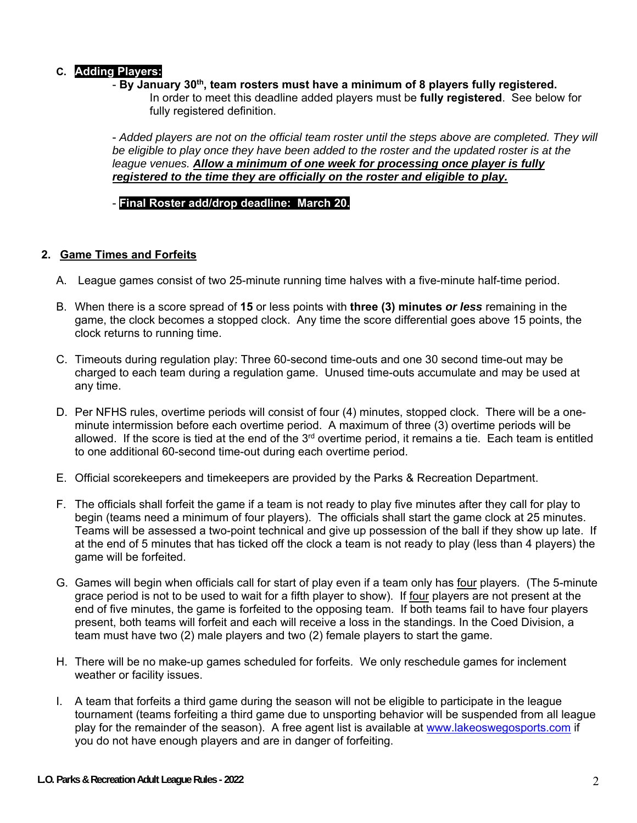# **C. Adding Players:**

- **By January 30th, team rosters must have a minimum of 8 players fully registered.** 
	- In order to meet this deadline added players must be **fully registered**. See below for fully registered definition.

- Added players are not on the official team roster until the steps above are completed. They will *be eligible to play once they have been added to the roster and the updated roster is at the league venues. Allow a minimum of one week for processing once player is fully registered to the time they are officially on the roster and eligible to play.* 

- **Final Roster add/drop deadline: March 20.** 

### **2. Game Times and Forfeits**

- A. League games consist of two 25-minute running time halves with a five-minute half-time period.
- B. When there is a score spread of **15** or less points with **three (3) minutes** *or less* remaining in the game, the clock becomes a stopped clock. Any time the score differential goes above 15 points, the clock returns to running time.
- C. Timeouts during regulation play: Three 60-second time-outs and one 30 second time-out may be charged to each team during a regulation game. Unused time-outs accumulate and may be used at any time.
- D. Per NFHS rules, overtime periods will consist of four (4) minutes, stopped clock. There will be a oneminute intermission before each overtime period. A maximum of three (3) overtime periods will be allowed. If the score is tied at the end of the 3<sup>rd</sup> overtime period, it remains a tie. Each team is entitled to one additional 60-second time-out during each overtime period.
- E. Official scorekeepers and timekeepers are provided by the Parks & Recreation Department.
- F. The officials shall forfeit the game if a team is not ready to play five minutes after they call for play to begin (teams need a minimum of four players). The officials shall start the game clock at 25 minutes. Teams will be assessed a two-point technical and give up possession of the ball if they show up late. If at the end of 5 minutes that has ticked off the clock a team is not ready to play (less than 4 players) the game will be forfeited.
- G. Games will begin when officials call for start of play even if a team only has four players. (The 5-minute grace period is not to be used to wait for a fifth player to show). If four players are not present at the end of five minutes, the game is forfeited to the opposing team. If both teams fail to have four players present, both teams will forfeit and each will receive a loss in the standings. In the Coed Division, a team must have two (2) male players and two (2) female players to start the game.
- H. There will be no make-up games scheduled for forfeits. We only reschedule games for inclement weather or facility issues.
- I. A team that forfeits a third game during the season will not be eligible to participate in the league tournament (teams forfeiting a third game due to unsporting behavior will be suspended from all league play for the remainder of the season). A free agent list is available at www.lakeoswegosports.com if you do not have enough players and are in danger of forfeiting.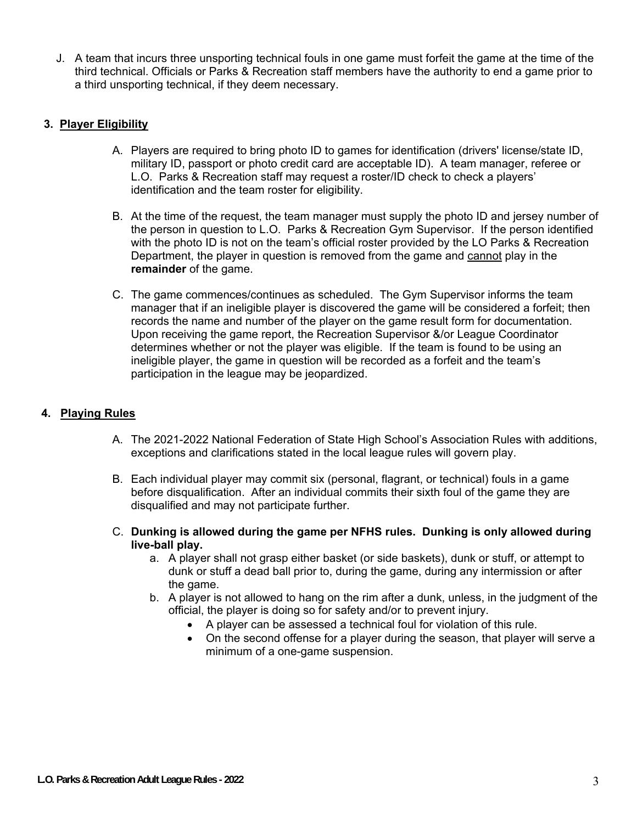J. A team that incurs three unsporting technical fouls in one game must forfeit the game at the time of the third technical. Officials or Parks & Recreation staff members have the authority to end a game prior to a third unsporting technical, if they deem necessary.

# **3. Player Eligibility**

- A. Players are required to bring photo ID to games for identification (drivers' license/state ID, military ID, passport or photo credit card are acceptable ID). A team manager, referee or L.O. Parks & Recreation staff may request a roster/ID check to check a players' identification and the team roster for eligibility.
- B. At the time of the request, the team manager must supply the photo ID and jersey number of the person in question to L.O. Parks & Recreation Gym Supervisor. If the person identified with the photo ID is not on the team's official roster provided by the LO Parks & Recreation Department, the player in question is removed from the game and cannot play in the **remainder** of the game.
- C. The game commences/continues as scheduled. The Gym Supervisor informs the team manager that if an ineligible player is discovered the game will be considered a forfeit; then records the name and number of the player on the game result form for documentation. Upon receiving the game report, the Recreation Supervisor &/or League Coordinator determines whether or not the player was eligible. If the team is found to be using an ineligible player, the game in question will be recorded as a forfeit and the team's participation in the league may be jeopardized.

# **4. Playing Rules**

- A. The 2021-2022 National Federation of State High School's Association Rules with additions, exceptions and clarifications stated in the local league rules will govern play.
- B. Each individual player may commit six (personal, flagrant, or technical) fouls in a game before disqualification. After an individual commits their sixth foul of the game they are disqualified and may not participate further.
- C. **Dunking is allowed during the game per NFHS rules. Dunking is only allowed during live-ball play.** 
	- a. A player shall not grasp either basket (or side baskets), dunk or stuff, or attempt to dunk or stuff a dead ball prior to, during the game, during any intermission or after the game.
	- b. A player is not allowed to hang on the rim after a dunk, unless, in the judgment of the official, the player is doing so for safety and/or to prevent injury.
		- A player can be assessed a technical foul for violation of this rule.
		- On the second offense for a player during the season, that player will serve a minimum of a one-game suspension.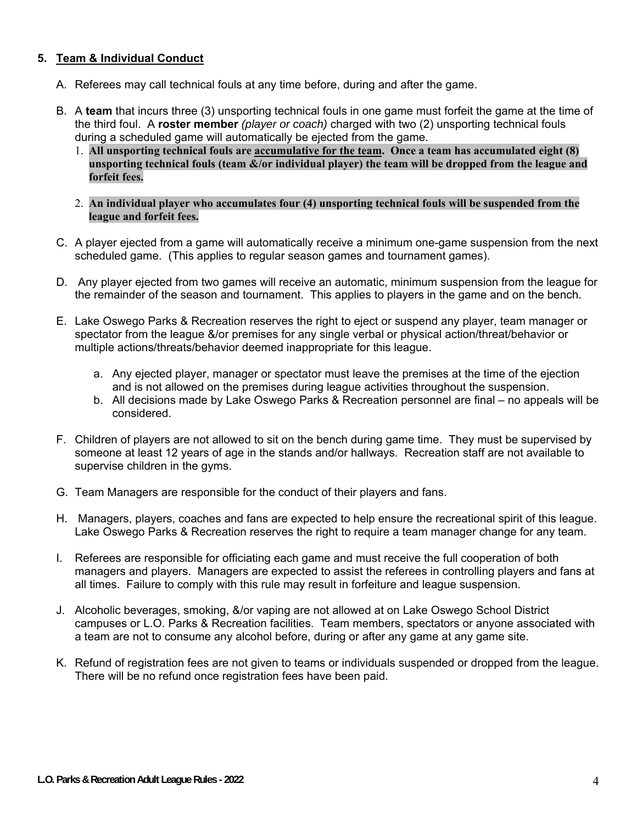### **5. Team & Individual Conduct**

- A. Referees may call technical fouls at any time before, during and after the game.
- B. A **team** that incurs three (3) unsporting technical fouls in one game must forfeit the game at the time of the third foul. A **roster member** *(player or coach)* charged with two (2) unsporting technical fouls during a scheduled game will automatically be ejected from the game.
	- 1. **All unsporting technical fouls are accumulative for the team. Once a team has accumulated eight (8) unsporting technical fouls (team &/or individual player) the team will be dropped from the league and forfeit fees.**
	- 2. **An individual player who accumulates four (4) unsporting technical fouls will be suspended from the league and forfeit fees.**
- C. A player ejected from a game will automatically receive a minimum one-game suspension from the next scheduled game. (This applies to regular season games and tournament games).
- D. Any player ejected from two games will receive an automatic, minimum suspension from the league for the remainder of the season and tournament. This applies to players in the game and on the bench.
- E. Lake Oswego Parks & Recreation reserves the right to eject or suspend any player, team manager or spectator from the league &/or premises for any single verbal or physical action/threat/behavior or multiple actions/threats/behavior deemed inappropriate for this league.
	- a. Any ejected player, manager or spectator must leave the premises at the time of the ejection and is not allowed on the premises during league activities throughout the suspension.
	- b. All decisions made by Lake Oswego Parks & Recreation personnel are final no appeals will be considered.
- F. Children of players are not allowed to sit on the bench during game time. They must be supervised by someone at least 12 years of age in the stands and/or hallways. Recreation staff are not available to supervise children in the gyms.
- G. Team Managers are responsible for the conduct of their players and fans.
- H. Managers, players, coaches and fans are expected to help ensure the recreational spirit of this league. Lake Oswego Parks & Recreation reserves the right to require a team manager change for any team.
- I. Referees are responsible for officiating each game and must receive the full cooperation of both managers and players. Managers are expected to assist the referees in controlling players and fans at all times. Failure to comply with this rule may result in forfeiture and league suspension.
- J. Alcoholic beverages, smoking, &/or vaping are not allowed at on Lake Oswego School District campuses or L.O. Parks & Recreation facilities. Team members, spectators or anyone associated with a team are not to consume any alcohol before, during or after any game at any game site.
- K. Refund of registration fees are not given to teams or individuals suspended or dropped from the league. There will be no refund once registration fees have been paid.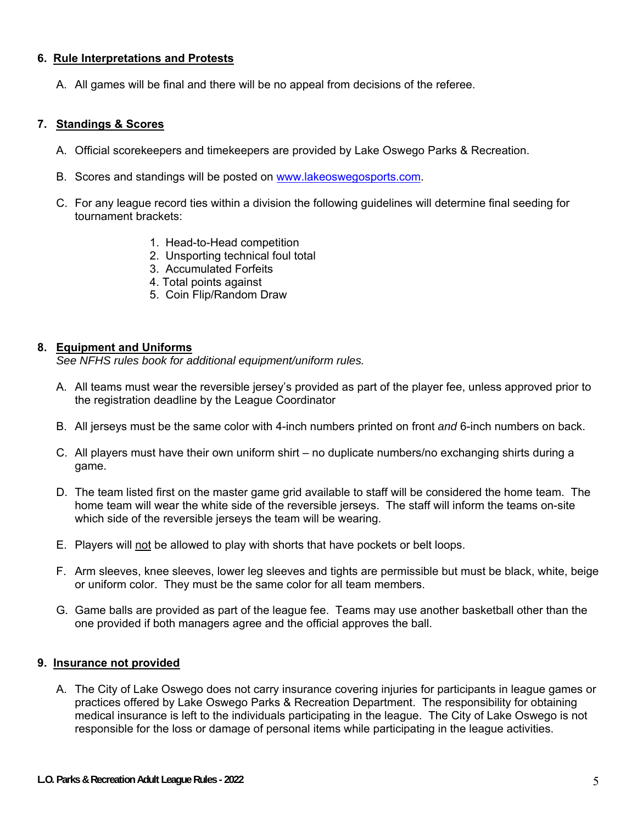#### **6. Rule Interpretations and Protests**

A. All games will be final and there will be no appeal from decisions of the referee.

#### **7. Standings & Scores**

- A. Official scorekeepers and timekeepers are provided by Lake Oswego Parks & Recreation.
- B. Scores and standings will be posted on www.lakeoswegosports.com.
- C. For any league record ties within a division the following guidelines will determine final seeding for tournament brackets:
	- 1. Head-to-Head competition
	- 2. Unsporting technical foul total
	- 3. Accumulated Forfeits
	- 4. Total points against
	- 5. Coin Flip/Random Draw

#### **8. Equipment and Uniforms**

*See NFHS rules book for additional equipment/uniform rules.* 

- A. All teams must wear the reversible jersey's provided as part of the player fee, unless approved prior to the registration deadline by the League Coordinator
- B. All jerseys must be the same color with 4-inch numbers printed on front *and* 6-inch numbers on back.
- C. All players must have their own uniform shirt no duplicate numbers/no exchanging shirts during a game.
- D. The team listed first on the master game grid available to staff will be considered the home team. The home team will wear the white side of the reversible jerseys. The staff will inform the teams on-site which side of the reversible jerseys the team will be wearing.
- E. Players will not be allowed to play with shorts that have pockets or belt loops.
- F. Arm sleeves, knee sleeves, lower leg sleeves and tights are permissible but must be black, white, beige or uniform color. They must be the same color for all team members.
- G. Game balls are provided as part of the league fee. Teams may use another basketball other than the one provided if both managers agree and the official approves the ball.

#### **9. Insurance not provided**

A. The City of Lake Oswego does not carry insurance covering injuries for participants in league games or practices offered by Lake Oswego Parks & Recreation Department. The responsibility for obtaining medical insurance is left to the individuals participating in the league. The City of Lake Oswego is not responsible for the loss or damage of personal items while participating in the league activities.